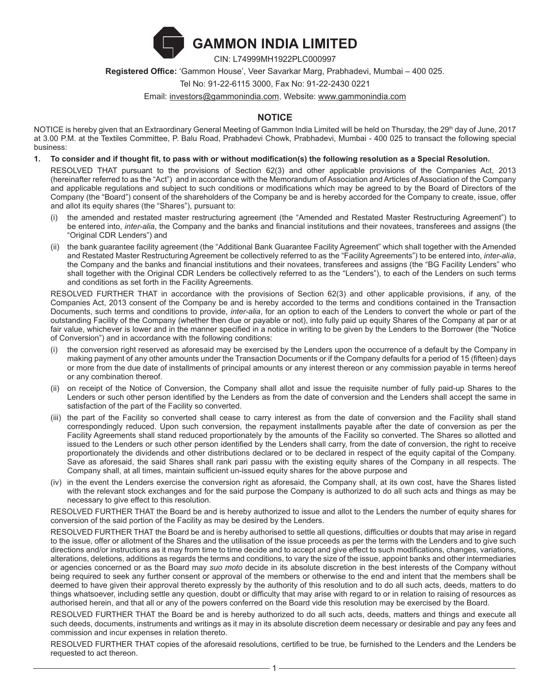

CIN: L74999MH1922PLC000997

**Registered Office:** 'Gammon House', Veer Savarkar Marg, Prabhadevi, Mumbai – 400 025.

Tel No: 91-22-6115 3000, Fax No: 91-22-2430 0221

Email: investors@gammonindia.com, Website: www.gammonindia.com

# **NOTICE**

NOTICE is hereby given that an Extraordinary General Meeting of Gammon India Limited will be held on Thursday, the 29th day of June, 2017 at 3.00 P.M. at the Textiles Committee, P. Balu Road, Prabhadevi Chowk, Prabhadevi, Mumbai - 400 025 to transact the following special business:

**1. To consider and if thought fit, to pass with or without modification(s) the following resolution as a Special Resolution.**

RESOLVED THAT pursuant to the provisions of Section 62(3) and other applicable provisions of the Companies Act, 2013 (hereinafter referred to as the "Act") and in accordance with the Memorandum of Association and Articles of Association of the Company and applicable regulations and subject to such conditions or modifications which may be agreed to by the Board of Directors of the Company (the "Board") consent of the shareholders of the Company be and is hereby accorded for the Company to create, issue, offer and allot its equity shares (the "Shares"), pursuant to:

- (i) the amended and restated master restructuring agreement (the "Amended and Restated Master Restructuring Agreement") to be entered into, *inter-alia*, the Company and the banks and financial institutions and their novatees, transferees and assigns (the "Original CDR Lenders") and
- (ii) the bank guarantee facility agreement (the "Additional Bank Guarantee Facility Agreement" which shall together with the Amended and Restated Master Restructuring Agreement be collectively referred to as the "Facility Agreements") to be entered into, *inter-alia*, the Company and the banks and financial institutions and their novatees, transferees and assigns (the "BG Facility Lenders" who shall together with the Original CDR Lenders be collectively referred to as the "Lenders"), to each of the Lenders on such terms and conditions as set forth in the Facility Agreements.

RESOLVED FURTHER THAT in accordance with the provisions of Section 62(3) and other applicable provisions, if any, of the Companies Act, 2013 consent of the Company be and is hereby accorded to the terms and conditions contained in the Transaction Documents, such terms and conditions to provide, *inter-alia*, for an option to each of the Lenders to convert the whole or part of the outstanding Facility of the Company (whether then due or payable or not), into fully paid up equity Shares of the Company at par or at fair value, whichever is lower and in the manner specified in a notice in writing to be given by the Lenders to the Borrower (the "Notice of Conversion") and in accordance with the following conditions:

- the conversion right reserved as aforesaid may be exercised by the Lenders upon the occurrence of a default by the Company in making payment of any other amounts under the Transaction Documents or if the Company defaults for a period of 15 (fifteen) days or more from the due date of installments of principal amounts or any interest thereon or any commission payable in terms hereof or any combination thereof.
- (ii) on receipt of the Notice of Conversion, the Company shall allot and issue the requisite number of fully paid-up Shares to the Lenders or such other person identified by the Lenders as from the date of conversion and the Lenders shall accept the same in satisfaction of the part of the Facility so converted.
- (iii) the part of the Facility so converted shall cease to carry interest as from the date of conversion and the Facility shall stand correspondingly reduced. Upon such conversion, the repayment installments payable after the date of conversion as per the Facility Agreements shall stand reduced proportionately by the amounts of the Facility so converted. The Shares so allotted and issued to the Lenders or such other person identified by the Lenders shall carry, from the date of conversion, the right to receive proportionately the dividends and other distributions declared or to be declared in respect of the equity capital of the Company. Save as aforesaid, the said Shares shall rank pari passu with the existing equity shares of the Company in all respects. The Company shall, at all times, maintain sufficient un-issued equity shares for the above purpose and
- (iv) in the event the Lenders exercise the conversion right as aforesaid, the Company shall, at its own cost, have the Shares listed with the relevant stock exchanges and for the said purpose the Company is authorized to do all such acts and things as may be necessary to give effect to this resolution.

RESOLVED FURTHER THAT the Board be and is hereby authorized to issue and allot to the Lenders the number of equity shares for conversion of the said portion of the Facility as may be desired by the Lenders.

RESOLVED FURTHER THAT the Board be and is hereby authorised to settle all questions, difficulties or doubts that may arise in regard to the issue, offer or allotment of the Shares and the utilisation of the issue proceeds as per the terms with the Lenders and to give such directions and/or instructions as it may from time to time decide and to accept and give effect to such modifications, changes, variations, alterations, deletions, additions as regards the terms and conditions, to vary the size of the issue, appoint banks and other intermediaries or agencies concerned or as the Board may *suo moto* decide in its absolute discretion in the best interests of the Company without being required to seek any further consent or approval of the members or otherwise to the end and intent that the members shall be deemed to have given their approval thereto expressly by the authority of this resolution and to do all such acts, deeds, matters to do things whatsoever, including settle any question, doubt or difficulty that may arise with regard to or in relation to raising of resources as authorised herein, and that all or any of the powers conferred on the Board vide this resolution may be exercised by the Board.

RESOLVED FURTHER THAT the Board be and is hereby authorized to do all such acts, deeds, matters and things and execute all such deeds, documents, instruments and writings as it may in its absolute discretion deem necessary or desirable and pay any fees and commission and incur expenses in relation thereto.

RESOLVED FURTHER THAT copies of the aforesaid resolutions, certified to be true, be furnished to the Lenders and the Lenders be requested to act thereon.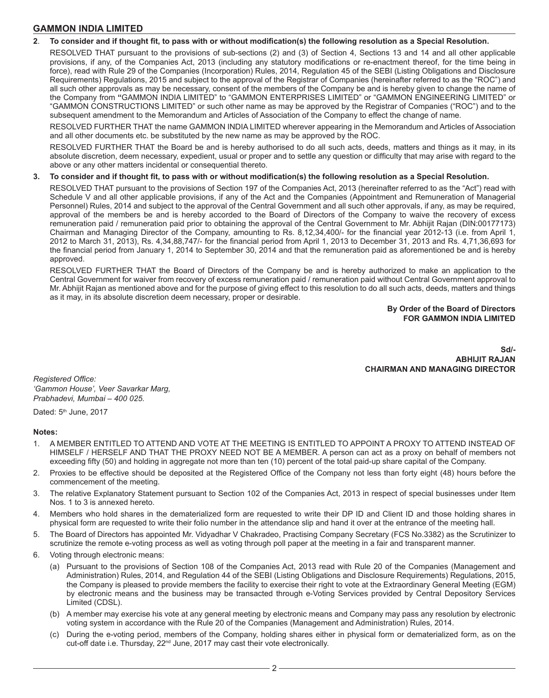#### **2**. **To consider and if thought fit, to pass with or without modification(s) the following resolution as a Special Resolution.**

RESOLVED THAT pursuant to the provisions of sub-sections (2) and (3) of Section 4, Sections 13 and 14 and all other applicable provisions, if any, of the Companies Act, 2013 (including any statutory modifications or re-enactment thereof, for the time being in force), read with Rule 29 of the Companies (Incorporation) Rules, 2014, Regulation 45 of the SEBI (Listing Obligations and Disclosure Requirements) Regulations, 2015 and subject to the approval of the Registrar of Companies (hereinafter referred to as the "ROC") and all such other approvals as may be necessary, consent of the members of the Company be and is hereby given to change the name of the Company from **"**GAMMON INDIA LIMITED" to "GAMMON ENTERPRISES LIMITED" or "GAMMON ENGINEERING LIMITED" or "GAMMON CONSTRUCTIONS LIMITED" or such other name as may be approved by the Registrar of Companies ("ROC") and to the subsequent amendment to the Memorandum and Articles of Association of the Company to effect the change of name.

RESOLVED FURTHER THAT the name GAMMON INDIA LIMITED wherever appearing in the Memorandum and Articles of Association and all other documents etc. be substituted by the new name as may be approved by the ROC.

RESOLVED FURTHER THAT the Board be and is hereby authorised to do all such acts, deeds, matters and things as it may, in its absolute discretion, deem necessary, expedient, usual or proper and to settle any question or difficulty that may arise with regard to the above or any other matters incidental or consequential thereto.

#### **3. To consider and if thought fit, to pass with or without modification(s) the following resolution as a Special Resolution.**

RESOLVED THAT pursuant to the provisions of Section 197 of the Companies Act, 2013 (hereinafter referred to as the "Act") read with Schedule V and all other applicable provisions, if any of the Act and the Companies (Appointment and Remuneration of Managerial Personnel) Rules, 2014 and subject to the approval of the Central Government and all such other approvals, if any, as may be required, approval of the members be and is hereby accorded to the Board of Directors of the Company to waive the recovery of excess remuneration paid / remuneration paid prior to obtaining the approval of the Central Government to Mr. Abhijit Rajan (DIN:00177173) Chairman and Managing Director of the Company, amounting to Rs. 8,12,34,400/- for the financial year 2012-13 (i.e. from April 1, 2012 to March 31, 2013), Rs. 4,34,88,747/- for the financial period from April 1, 2013 to December 31, 2013 and Rs. 4,71,36,693 for the financial period from January 1, 2014 to September 30, 2014 and that the remuneration paid as aforementioned be and is hereby approved.

RESOLVED FURTHER THAT the Board of Directors of the Company be and is hereby authorized to make an application to the Central Government for waiver from recovery of excess remuneration paid / remuneration paid without Central Government approval to Mr. Abhijit Rajan as mentioned above and for the purpose of giving effect to this resolution to do all such acts, deeds, matters and things as it may, in its absolute discretion deem necessary, proper or desirable.

> **By Order of the Board of Directors FOR GAMMON INDIA LIMITED**

**Sd/- ABHIJIT RAJAN CHAIRMAN AND MANAGING DIRECTOR**

*Registered Office: 'Gammon House', Veer Savarkar Marg, Prabhadevi, Mumbai – 400 025.*

Dated: 5<sup>th</sup> June, 2017

#### **Notes:**

- 1. A MEMBER ENTITLED TO ATTEND AND VOTE AT THE MEETING IS ENTITLED TO APPOINT A PROXY TO ATTEND INSTEAD OF HIMSELF / HERSELF AND THAT THE PROXY NEED NOT BE A MEMBER. A person can act as a proxy on behalf of members not exceeding fifty (50) and holding in aggregate not more than ten (10) percent of the total paid-up share capital of the Company.
- 2. Proxies to be effective should be deposited at the Registered Office of the Company not less than forty eight (48) hours before the commencement of the meeting.
- 3. The relative Explanatory Statement pursuant to Section 102 of the Companies Act, 2013 in respect of special businesses under Item Nos. 1 to 3 is annexed hereto.
- 4. Members who hold shares in the dematerialized form are requested to write their DP ID and Client ID and those holding shares in physical form are requested to write their folio number in the attendance slip and hand it over at the entrance of the meeting hall.
- 5. The Board of Directors has appointed Mr. Vidyadhar V Chakradeo, Practising Company Secretary (FCS No.3382) as the Scrutinizer to scrutinize the remote e-voting process as well as voting through poll paper at the meeting in a fair and transparent manner.
- 6. Voting through electronic means:
	- (a) Pursuant to the provisions of Section 108 of the Companies Act, 2013 read with Rule 20 of the Companies (Management and Administration) Rules, 2014, and Regulation 44 of the SEBI (Listing Obligations and Disclosure Requirements) Regulations, 2015, the Company is pleased to provide members the facility to exercise their right to vote at the Extraordinary General Meeting (EGM) by electronic means and the business may be transacted through e-Voting Services provided by Central Depository Services Limited (CDSL).
	- (b) A member may exercise his vote at any general meeting by electronic means and Company may pass any resolution by electronic voting system in accordance with the Rule 20 of the Companies (Management and Administration) Rules, 2014.
	- (c) During the e-voting period, members of the Company, holding shares either in physical form or dematerialized form, as on the cut-off date i.e. Thursday, 22<sup>nd</sup> June, 2017 may cast their vote electronically.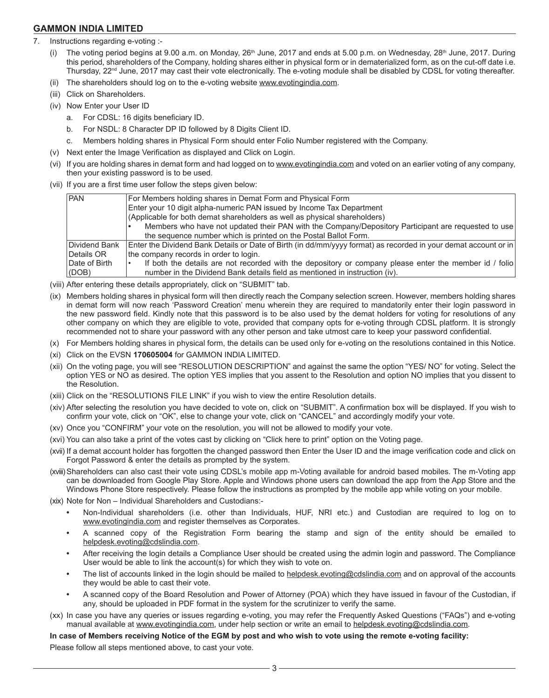- 7. Instructions regarding e-voting :-
	- (i) The voting period begins at 9.00 a.m. on Monday,  $26<sup>th</sup>$  June, 2017 and ends at 5.00 p.m. on Wednesday,  $28<sup>th</sup>$  June, 2017. During this period, shareholders of the Company, holding shares either in physical form or in dematerialized form, as on the cut-off date i.e. Thursday, 22<sup>nd</sup> June, 2017 may cast their vote electronically. The e-voting module shall be disabled by CDSL for voting thereafter.
	- (ii) The shareholders should log on to the e-voting website www.evotingindia.com.
	- (iii) Click on Shareholders.
	- (iv) Now Enter your User ID
		- a. For CDSL: 16 digits beneficiary ID.
		- b. For NSDL: 8 Character DP ID followed by 8 Digits Client ID.
		- c. Members holding shares in Physical Form should enter Folio Number registered with the Company.
	- (v) Next enter the Image Verification as displayed and Click on Login.
	- (vi) If you are holding shares in demat form and had logged on to www.evotingindia.com and voted on an earlier voting of any company, then your existing password is to be used.
	- (vii) If you are a first time user follow the steps given below:

| PAN           | For Members holding shares in Demat Form and Physical Form                                                      |
|---------------|-----------------------------------------------------------------------------------------------------------------|
|               | Enter your 10 digit alpha-numeric PAN issued by Income Tax Department                                           |
|               | (Applicable for both demat shareholders as well as physical shareholders)                                       |
|               | Members who have not updated their PAN with the Company/Depository Participant are requested to use             |
|               | the sequence number which is printed on the Postal Ballot Form.                                                 |
| Dividend Bank | Enter the Dividend Bank Details or Date of Birth (in dd/mm/yyyy format) as recorded in your demat account or in |
| Details OR    | the company records in order to login.                                                                          |
| Date of Birth | If both the details are not recorded with the depository or company please enter the member id / folio          |
| (DOB)         | number in the Dividend Bank details field as mentioned in instruction (iv).                                     |
|               |                                                                                                                 |

- (viii) After entering these details appropriately, click on "SUBMIT" tab.
- (ix) Members holding shares in physical form will then directly reach the Company selection screen. However, members holding shares in demat form will now reach 'Password Creation' menu wherein they are required to mandatorily enter their login password in the new password field. Kindly note that this password is to be also used by the demat holders for voting for resolutions of any other company on which they are eligible to vote, provided that company opts for e-voting through CDSL platform. It is strongly recommended not to share your password with any other person and take utmost care to keep your password confidential.
- (x) For Members holding shares in physical form, the details can be used only for e-voting on the resolutions contained in this Notice.
- (xi) Click on the EVSN **170605004** for GAMMON INDIA LIMITED.
- (xii) On the voting page, you will see "RESOLUTION DESCRIPTION" and against the same the option "YES/ NO" for voting. Select the option YES or NO as desired. The option YES implies that you assent to the Resolution and option NO implies that you dissent to the Resolution.
- (xiii) Click on the "RESOLUTIONS FILE LINK" if you wish to view the entire Resolution details.
- (xiv) After selecting the resolution you have decided to vote on, click on "SUBMIT". A confirmation box will be displayed. If you wish to confirm your vote, click on "OK", else to change your vote, click on "CANCEL" and accordingly modify your vote.
- (xv) Once you "CONFIRM" your vote on the resolution, you will not be allowed to modify your vote.
- (xvi) You can also take a print of the votes cast by clicking on "Click here to print" option on the Voting page.
- (xvii) If a demat account holder has forgotten the changed password then Enter the User ID and the image verification code and click on Forgot Password & enter the details as prompted by the system.
- (xviii)Shareholders can also cast their vote using CDSL's mobile app m-Voting available for android based mobiles. The m-Voting app can be downloaded from Google Play Store. Apple and Windows phone users can download the app from the App Store and the Windows Phone Store respectively. Please follow the instructions as prompted by the mobile app while voting on your mobile.
- (xix) Note for Non Individual Shareholders and Custodians:-
	- **•** Non-Individual shareholders (i.e. other than Individuals, HUF, NRI etc.) and Custodian are required to log on to www.evotingindia.com and register themselves as Corporates.
	- **•** A scanned copy of the Registration Form bearing the stamp and sign of the entity should be emailed to helpdesk.evoting@cdslindia.com.
	- **•** After receiving the login details a Compliance User should be created using the admin login and password. The Compliance User would be able to link the account(s) for which they wish to vote on.
	- **•** The list of accounts linked in the login should be mailed to helpdesk.evoting@cdslindia.com and on approval of the accounts they would be able to cast their vote.
	- **•** A scanned copy of the Board Resolution and Power of Attorney (POA) which they have issued in favour of the Custodian, if any, should be uploaded in PDF format in the system for the scrutinizer to verify the same.
- (xx) In case you have any queries or issues regarding e-voting, you may refer the Frequently Asked Questions ("FAQs") and e-voting manual available at www.evotingindia.com, under help section or write an email to helpdesk.evoting@cdslindia.com.

**In case of Members receiving Notice of the EGM by post and who wish to vote using the remote e-voting facility:**

Please follow all steps mentioned above, to cast your vote.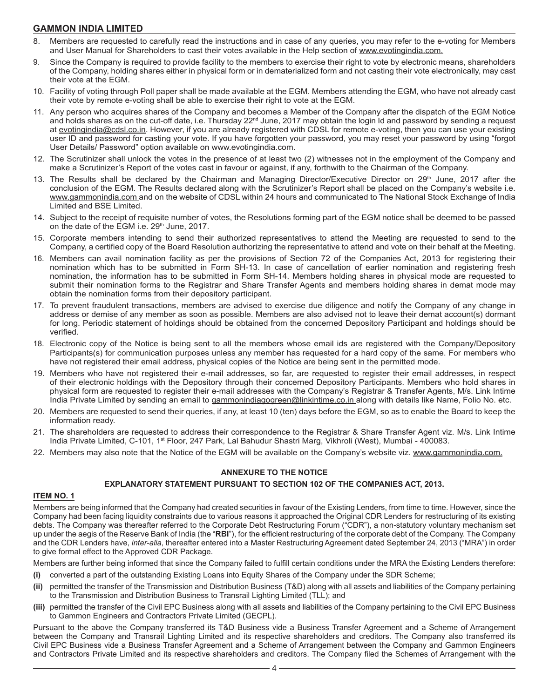- 8. Members are requested to carefully read the instructions and in case of any queries, you may refer to the e-voting for Members and User Manual for Shareholders to cast their votes available in the Help section of www.evotingindia.com.
- 9. Since the Company is required to provide facility to the members to exercise their right to vote by electronic means, shareholders of the Company, holding shares either in physical form or in dematerialized form and not casting their vote electronically, may cast their vote at the EGM.
- 10. Facility of voting through Poll paper shall be made available at the EGM. Members attending the EGM, who have not already cast their vote by remote e-voting shall be able to exercise their right to vote at the EGM.
- 11. Any person who acquires shares of the Company and becomes a Member of the Company after the dispatch of the EGM Notice and holds shares as on the cut-off date, i.e. Thursday 22<sup>nd</sup> June, 2017 may obtain the login Id and password by sending a request at evotingindia@cdsl.co.in. However, if you are already registered with CDSL for remote e-voting, then you can use your existing user ID and password for casting your vote. If you have forgotten your password, you may reset your password by using "forgot User Details/ Password" option available on www.evotingindia.com.
- 12. The Scrutinizer shall unlock the votes in the presence of at least two (2) witnesses not in the employment of the Company and make a Scrutinizer's Report of the votes cast in favour or against, if any, forthwith to the Chairman of the Company.
- 13. The Results shall be declared by the Chairman and Managing Director/Executive Director on 29<sup>th</sup> June, 2017 after the conclusion of the EGM. The Results declared along with the Scrutinizer's Report shall be placed on the Company's website i.e. www.gammonindia.com and on the website of CDSL within 24 hours and communicated to The National Stock Exchange of India Limited and BSE Limited.
- 14. Subject to the receipt of requisite number of votes, the Resolutions forming part of the EGM notice shall be deemed to be passed on the date of the EGM i.e. 29<sup>th</sup> June, 2017.
- 15. Corporate members intending to send their authorized representatives to attend the Meeting are requested to send to the Company, a certified copy of the Board Resolution authorizing the representative to attend and vote on their behalf at the Meeting.
- 16. Members can avail nomination facility as per the provisions of Section 72 of the Companies Act, 2013 for registering their nomination which has to be submitted in Form SH-13. In case of cancellation of earlier nomination and registering fresh nomination, the information has to be submitted in Form SH-14. Members holding shares in physical mode are requested to submit their nomination forms to the Registrar and Share Transfer Agents and members holding shares in demat mode may obtain the nomination forms from their depository participant.
- 17. To prevent fraudulent transactions, members are advised to exercise due diligence and notify the Company of any change in address or demise of any member as soon as possible. Members are also advised not to leave their demat account(s) dormant for long. Periodic statement of holdings should be obtained from the concerned Depository Participant and holdings should be verified.
- 18. Electronic copy of the Notice is being sent to all the members whose email ids are registered with the Company/Depository Participants(s) for communication purposes unless any member has requested for a hard copy of the same. For members who have not registered their email address, physical copies of the Notice are being sent in the permitted mode.
- 19. Members who have not registered their e-mail addresses, so far, are requested to register their email addresses, in respect of their electronic holdings with the Depository through their concerned Depository Participants. Members who hold shares in physical form are requested to register their e-mail addresses with the Company's Registrar & Transfer Agents, M/s. Link Intime India Private Limited by sending an email to gammonindiagogreen@linkintime.co.in along with details like Name, Folio No. etc.
- 20. Members are requested to send their queries, if any, at least 10 (ten) days before the EGM, so as to enable the Board to keep the information ready.
- 21. The shareholders are requested to address their correspondence to the Registrar & Share Transfer Agent viz. M/s. Link Intime India Private Limited, C-101, 1<sup>st</sup> Floor, 247 Park, Lal Bahudur Shastri Marg, Vikhroli (West), Mumbai - 400083.
- 22. Members may also note that the Notice of the EGM will be available on the Company's website viz. www.gammonindia.com.

### **ANNEXURE TO THE NOTICE**

#### **EXPLANATORY STATEMENT PURSUANT TO SECTION 102 OF THE COMPANIES ACT, 2013.**

#### **ITEM NO. 1**

Members are being informed that the Company had created securities in favour of the Existing Lenders, from time to time. However, since the Company had been facing liquidity constraints due to various reasons it approached the Original CDR Lenders for restructuring of its existing debts. The Company was thereafter referred to the Corporate Debt Restructuring Forum ("CDR"), a non-statutory voluntary mechanism set up under the aegis of the Reserve Bank of India (the "**RBI**"), for the efficient restructuring of the corporate debt of the Company. The Company and the CDR Lenders have, *inter-alia*, thereafter entered into a Master Restructuring Agreement dated September 24, 2013 ("MRA") in order to give formal effect to the Approved CDR Package.

Members are further being informed that since the Company failed to fulfill certain conditions under the MRA the Existing Lenders therefore:

- **(i)** converted a part of the outstanding Existing Loans into Equity Shares of the Company under the SDR Scheme;
- **(ii)** permitted the transfer of the Transmission and Distribution Business (T&D) along with all assets and liabilities of the Company pertaining to the Transmission and Distribution Business to Transrail Lighting Limited (TLL); and
- **(iii)** permitted the transfer of the Civil EPC Business along with all assets and liabilities of the Company pertaining to the Civil EPC Business to Gammon Engineers and Contractors Private Limited (GECPL).

Pursuant to the above the Company transferred its T&D Business vide a Business Transfer Agreement and a Scheme of Arrangement between the Company and Transrail Lighting Limited and its respective shareholders and creditors. The Company also transferred its Civil EPC Business vide a Business Transfer Agreement and a Scheme of Arrangement between the Company and Gammon Engineers and Contractors Private Limited and its respective shareholders and creditors. The Company filed the Schemes of Arrangement with the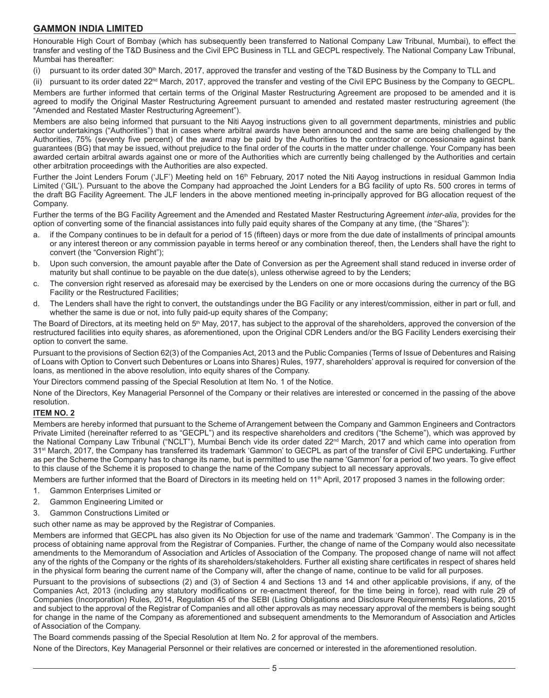Honourable High Court of Bombay (which has subsequently been transferred to National Company Law Tribunal, Mumbai), to effect the transfer and vesting of the T&D Business and the Civil EPC Business in TLL and GECPL respectively. The National Company Law Tribunal, Mumbai has thereafter:

(i) pursuant to its order dated 30<sup>th</sup> March, 2017, approved the transfer and vesting of the T&D Business by the Company to TLL and

(ii) pursuant to its order dated 22nd March, 2017, approved the transfer and vesting of the Civil EPC Business by the Company to GECPL.

Members are further informed that certain terms of the Original Master Restructuring Agreement are proposed to be amended and it is agreed to modify the Original Master Restructuring Agreement pursuant to amended and restated master restructuring agreement (the "Amended and Restated Master Restructuring Agreement").

Members are also being informed that pursuant to the Niti Aayog instructions given to all government departments, ministries and public sector undertakings ("Authorities") that in cases where arbitral awards have been announced and the same are being challenged by the Authorities, 75% (seventy five percent) of the award may be paid by the Authorities to the contractor or concessionaire against bank guarantees (BG) that may be issued, without prejudice to the final order of the courts in the matter under challenge. Your Company has been awarded certain arbitral awards against one or more of the Authorities which are currently being challenged by the Authorities and certain other arbitration proceedings with the Authorities are also expected.

Further the Joint Lenders Forum ('JLF') Meeting held on 16<sup>th</sup> February, 2017 noted the Niti Aayog instructions in residual Gammon India Limited ('GIL'). Pursuant to the above the Company had approached the Joint Lenders for a BG facility of upto Rs. 500 crores in terms of the draft BG Facility Agreement. The JLF lenders in the above mentioned meeting in-principally approved for BG allocation request of the Company.

Further the terms of the BG Facility Agreement and the Amended and Restated Master Restructuring Agreement *inter-alia*, provides for the option of converting some of the financial assistances into fully paid equity shares of the Company at any time, (the "Shares"):

- a. if the Company continues to be in default for a period of 15 (fifteen) days or more from the due date of installments of principal amounts or any interest thereon or any commission payable in terms hereof or any combination thereof, then, the Lenders shall have the right to convert (the "Conversion Right");
- b. Upon such conversion, the amount payable after the Date of Conversion as per the Agreement shall stand reduced in inverse order of maturity but shall continue to be payable on the due date(s), unless otherwise agreed to by the Lenders;
- c. The conversion right reserved as aforesaid may be exercised by the Lenders on one or more occasions during the currency of the BG Facility or the Restructured Facilities;
- d. The Lenders shall have the right to convert, the outstandings under the BG Facility or any interest/commission, either in part or full, and whether the same is due or not, into fully paid-up equity shares of the Company;

The Board of Directors, at its meeting held on 5<sup>th</sup> May, 2017, has subject to the approval of the shareholders, approved the conversion of the restructured facilities into equity shares, as aforementioned, upon the Original CDR Lenders and/or the BG Facility Lenders exercising their option to convert the same.

Pursuant to the provisions of Section 62(3) of the Companies Act, 2013 and the Public Companies (Terms of Issue of Debentures and Raising of Loans with Option to Convert such Debentures or Loans into Shares) Rules, 1977, shareholders' approval is required for conversion of the loans, as mentioned in the above resolution, into equity shares of the Company.

Your Directors commend passing of the Special Resolution at Item No. 1 of the Notice.

None of the Directors, Key Managerial Personnel of the Company or their relatives are interested or concerned in the passing of the above resolution.

### **ITEM NO. 2**

Members are hereby informed that pursuant to the Scheme of Arrangement between the Company and Gammon Engineers and Contractors Private Limited (hereinafter referred to as "GECPL") and its respective shareholders and creditors ("the Scheme"), which was approved by the National Company Law Tribunal ("NCLT"), Mumbai Bench vide its order dated 22<sup>nd</sup> March, 2017 and which came into operation from 31<sup>st</sup> March, 2017, the Company has transferred its trademark 'Gammon' to GECPL as part of the transfer of Civil EPC undertaking. Further as per the Scheme the Company has to change its name, but is permitted to use the name 'Gammon' for a period of two years. To give effect to this clause of the Scheme it is proposed to change the name of the Company subject to all necessary approvals.

Members are further informed that the Board of Directors in its meeting held on 11<sup>th</sup> April, 2017 proposed 3 names in the following order:

- 1. Gammon Enterprises Limited or
- 2. Gammon Engineering Limited or
- 3. Gammon Constructions Limited or

#### such other name as may be approved by the Registrar of Companies.

Members are informed that GECPL has also given its No Objection for use of the name and trademark 'Gammon'. The Company is in the process of obtaining name approval from the Registrar of Companies. Further, the change of name of the Company would also necessitate amendments to the Memorandum of Association and Articles of Association of the Company. The proposed change of name will not affect any of the rights of the Company or the rights of its shareholders/stakeholders. Further all existing share certificates in respect of shares held in the physical form bearing the current name of the Company will, after the change of name, continue to be valid for all purposes.

Pursuant to the provisions of subsections (2) and (3) of Section 4 and Sections 13 and 14 and other applicable provisions, if any, of the Companies Act, 2013 (including any statutory modifications or re-enactment thereof, for the time being in force), read with rule 29 of Companies (Incorporation) Rules, 2014, Regulation 45 of the SEBI (Listing Obligations and Disclosure Requirements) Regulations, 2015 and subject to the approval of the Registrar of Companies and all other approvals as may necessary approval of the members is being sought for change in the name of the Company as aforementioned and subsequent amendments to the Memorandum of Association and Articles of Association of the Company.

The Board commends passing of the Special Resolution at Item No. 2 for approval of the members.

None of the Directors, Key Managerial Personnel or their relatives are concerned or interested in the aforementioned resolution.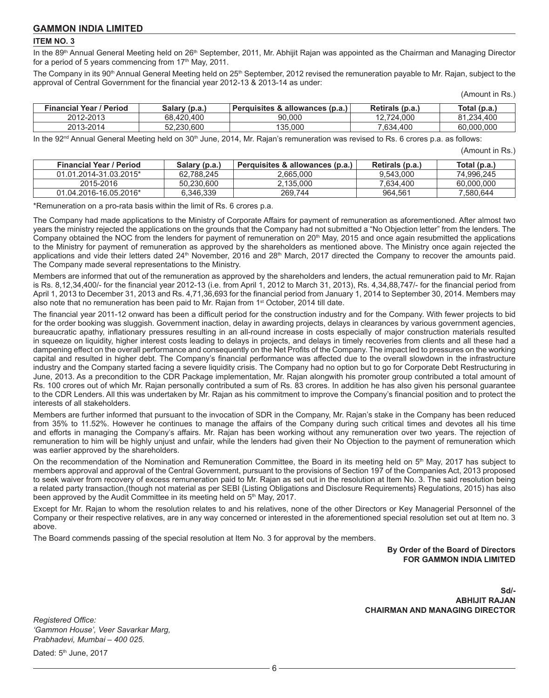#### **ITEM NO. 3**

In the 89<sup>th</sup> Annual General Meeting held on 26<sup>th</sup> September, 2011, Mr. Abhijit Rajan was appointed as the Chairman and Managing Director for a period of 5 years commencing from  $17<sup>th</sup>$  May, 2011.

The Company in its 90<sup>th</sup> Annual General Meeting held on 25<sup>th</sup> September, 2012 revised the remuneration payable to Mr. Rajan, subject to the approval of Central Government for the financial year 2012-13 & 2013-14 as under:

|  | (Amount in Rs.) |  |
|--|-----------------|--|
|--|-----------------|--|

| <b>Financial Year / Period</b> | Salary (p.a.) | Perquisites & allowances (p.a.) | Retirals (p.a.) | Total (p.a., |
|--------------------------------|---------------|---------------------------------|-----------------|--------------|
| 2012-2013                      | 68.420.400    | 90.000                          | 12.724.000      | 81.234.400   |
| 2013-2014                      | 52.230.600    | 135.000                         | 7.634.400       | 60,000,000   |

In the  $92<sup>nd</sup>$  Annual General Meeting held on  $30<sup>th</sup>$  June, 2014, Mr. Rajan's remuneration was revised to Rs. 6 crores p.a. as follows:

| (Amount in Rs.) |  |
|-----------------|--|
|                 |  |

| <b>Financial Year / Period</b> | Salary (p.a.) | Perquisites & allowances (p.a.) | Retirals (p.a.) | Total (p.a.) |
|--------------------------------|---------------|---------------------------------|-----------------|--------------|
| 01.01.2014-31.03.2015*         | 62.788.245    | 2.665.000                       | 9.543.000       | 74.996.245   |
| 2015-2016                      | 50.230.600    | 2.135.000                       | 7.634.400       | 60,000,000   |
| 01.04.2016-16.05.2016*         | 6.346.339     | 269.744                         | 964.561         | 7.580.644    |

\*Remuneration on a pro-rata basis within the limit of Rs. 6 crores p.a.

The Company had made applications to the Ministry of Corporate Affairs for payment of remuneration as aforementioned. After almost two years the ministry rejected the applications on the grounds that the Company had not submitted a "No Objection letter" from the lenders. The Company obtained the NOC from the lenders for payment of remuneration on 20<sup>th</sup> May, 2015 and once again resubmitted the applications to the Ministry for payment of remuneration as approved by the shareholders as mentioned above. The Ministry once again rejected the applications and vide their letters dated 24<sup>th</sup> November, 2016 and 28<sup>th</sup> March, 2017 directed the Company to recover the amounts paid. The Company made several representations to the Ministry.

Members are informed that out of the remuneration as approved by the shareholders and lenders, the actual remuneration paid to Mr. Rajan is Rs. 8,12,34,400/- for the financial year 2012-13 (i.e. from April 1, 2012 to March 31, 2013), Rs. 4,34,88,747/- for the financial period from April 1, 2013 to December 31, 2013 and Rs. 4,71,36,693 for the financial period from January 1, 2014 to September 30, 2014. Members may also note that no remuneration has been paid to Mr. Rajan from 1<sup>st</sup> October, 2014 till date.

The financial year 2011-12 onward has been a difficult period for the construction industry and for the Company. With fewer projects to bid for the order booking was sluggish. Government inaction, delay in awarding projects, delays in clearances by various government agencies, bureaucratic apathy, inflationary pressures resulting in an all-round increase in costs especially of major construction materials resulted in squeeze on liquidity, higher interest costs leading to delays in projects, and delays in timely recoveries from clients and all these had a dampening effect on the overall performance and consequently on the Net Profits of the Company. The impact led to pressures on the working capital and resulted in higher debt. The Company's financial performance was affected due to the overall slowdown in the infrastructure industry and the Company started facing a severe liquidity crisis. The Company had no option but to go for Corporate Debt Restructuring in June, 2013. As a precondition to the CDR Package implementation, Mr. Rajan alongwith his promoter group contributed a total amount of Rs. 100 crores out of which Mr. Rajan personally contributed a sum of Rs. 83 crores. In addition he has also given his personal guarantee to the CDR Lenders. All this was undertaken by Mr. Rajan as his commitment to improve the Company's financial position and to protect the interests of all stakeholders.

Members are further informed that pursuant to the invocation of SDR in the Company, Mr. Rajan's stake in the Company has been reduced from 35% to 11.52%. However he continues to manage the affairs of the Company during such critical times and devotes all his time and efforts in managing the Company's affairs. Mr. Rajan has been working without any remuneration over two years. The rejection of remuneration to him will be highly unjust and unfair, while the lenders had given their No Objection to the payment of remuneration which was earlier approved by the shareholders.

On the recommendation of the Nomination and Remuneration Committee, the Board in its meeting held on  $5<sup>th</sup>$  May, 2017 has subject to members approval and approval of the Central Government, pursuant to the provisions of Section 197 of the Companies Act, 2013 proposed to seek waiver from recovery of excess remuneration paid to Mr. Rajan as set out in the resolution at Item No. 3. The said resolution being a related party transaction,(though not material as per SEBI {Listing Obligations and Disclosure Requirements} Regulations, 2015) has also been approved by the Audit Committee in its meeting held on 5<sup>th</sup> May, 2017.

Except for Mr. Rajan to whom the resolution relates to and his relatives, none of the other Directors or Key Managerial Personnel of the Company or their respective relatives, are in any way concerned or interested in the aforementioned special resolution set out at Item no. 3 above.

The Board commends passing of the special resolution at Item No. 3 for approval by the members.

**By Order of the Board of Directors FOR GAMMON INDIA LIMITED**

**Sd/- ABHIJIT RAJAN CHAIRMAN AND MANAGING DIRECTOR**

*Registered Office: 'Gammon House', Veer Savarkar Marg, Prabhadevi, Mumbai – 400 025.*

Dated: 5<sup>th</sup> June, 2017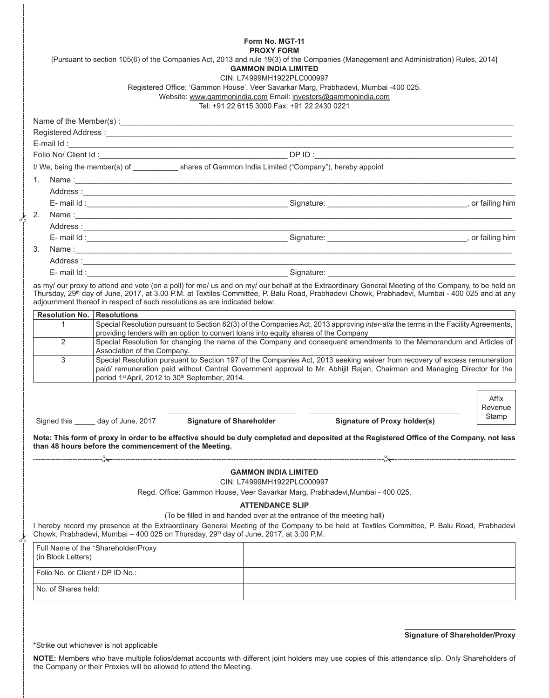|                                  |                                                                                                        | Form No. MGT-11                                                                                                                            |                                                                                                                                                                                                                                                                                                                  |                                       |
|----------------------------------|--------------------------------------------------------------------------------------------------------|--------------------------------------------------------------------------------------------------------------------------------------------|------------------------------------------------------------------------------------------------------------------------------------------------------------------------------------------------------------------------------------------------------------------------------------------------------------------|---------------------------------------|
|                                  |                                                                                                        | <b>PROXY FORM</b><br><b>GAMMON INDIA LIMITED</b>                                                                                           | [Pursuant to section 105(6) of the Companies Act, 2013 and rule 19(3) of the Companies (Management and Administration) Rules, 2014]                                                                                                                                                                              |                                       |
|                                  |                                                                                                        | CIN: L74999MH1922PLC000997<br>Website: www.gammonindia.com Email: investors@gammonindia.com<br>Tel: +91 22 6115 3000 Fax: +91 22 2430 0221 | Registered Office: 'Gammon House', Veer Savarkar Marg, Prabhadevi, Mumbai -400 025.                                                                                                                                                                                                                              |                                       |
|                                  |                                                                                                        |                                                                                                                                            |                                                                                                                                                                                                                                                                                                                  |                                       |
|                                  |                                                                                                        |                                                                                                                                            |                                                                                                                                                                                                                                                                                                                  |                                       |
|                                  |                                                                                                        |                                                                                                                                            |                                                                                                                                                                                                                                                                                                                  |                                       |
|                                  |                                                                                                        |                                                                                                                                            |                                                                                                                                                                                                                                                                                                                  |                                       |
|                                  | I/ We, being the member(s) of _____________ shares of Gammon India Limited ("Company"), hereby appoint |                                                                                                                                            |                                                                                                                                                                                                                                                                                                                  |                                       |
| $1_{\cdot}$                      |                                                                                                        |                                                                                                                                            |                                                                                                                                                                                                                                                                                                                  |                                       |
|                                  |                                                                                                        |                                                                                                                                            |                                                                                                                                                                                                                                                                                                                  |                                       |
|                                  |                                                                                                        |                                                                                                                                            |                                                                                                                                                                                                                                                                                                                  |                                       |
| 2.                               |                                                                                                        |                                                                                                                                            |                                                                                                                                                                                                                                                                                                                  |                                       |
|                                  |                                                                                                        |                                                                                                                                            |                                                                                                                                                                                                                                                                                                                  |                                       |
|                                  |                                                                                                        |                                                                                                                                            |                                                                                                                                                                                                                                                                                                                  |                                       |
| 3.                               |                                                                                                        |                                                                                                                                            |                                                                                                                                                                                                                                                                                                                  |                                       |
|                                  |                                                                                                        |                                                                                                                                            |                                                                                                                                                                                                                                                                                                                  |                                       |
|                                  |                                                                                                        |                                                                                                                                            | E-mail ld : state of the state of the state of the Signature: Signature: Signature of the Signature of the Signature of the Signature of the Signature of the Signature of the Signature of the Signature of the Signature of                                                                                    |                                       |
|                                  | adjournment thereof in respect of such resolutions as are indicated below:                             |                                                                                                                                            | as my/ our proxy to attend and vote (on a poll) for me/ us and on my/ our behalf at the Extraordinary General Meeting of the Company, to be held on<br>Thursday, 29 <sup>th</sup> day of June, 2017, at 3.00 P.M. at Textiles Committee, P. Balu Road, Prabhadevi Chowk, Prabhadevi, Mumbai - 400 025 and at any |                                       |
| <b>Resolution No.</b>            | <b>Resolutions</b>                                                                                     |                                                                                                                                            |                                                                                                                                                                                                                                                                                                                  |                                       |
| 1<br>2                           | providing lenders with an option to convert loans into equity shares of the Company                    |                                                                                                                                            | Special Resolution pursuant to Section 62(3) of the Companies Act, 2013 approving inter-alia the terms in the Facility Agreements,<br>Special Resolution for changing the name of the Company and consequent amendments to the Memorandum and Articles of                                                        |                                       |
|                                  | Association of the Company.                                                                            |                                                                                                                                            |                                                                                                                                                                                                                                                                                                                  |                                       |
| 3                                | period 1 <sup>st</sup> April, 2012 to 30 <sup>th</sup> September, 2014.                                |                                                                                                                                            | Special Resolution pursuant to Section 197 of the Companies Act, 2013 seeking waiver from recovery of excess remuneration<br>paid/ remuneration paid without Central Government approval to Mr. Abhijit Rajan, Chairman and Managing Director for the                                                            |                                       |
|                                  |                                                                                                        |                                                                                                                                            |                                                                                                                                                                                                                                                                                                                  | Affix<br>Revenue                      |
|                                  | Signed this ______ day of June, 2017                                                                   | <b>Signature of Shareholder</b>                                                                                                            | <b>Signature of Proxy holder(s)</b>                                                                                                                                                                                                                                                                              | Stamp                                 |
|                                  | than 48 hours before the commencement of the Meeting.                                                  |                                                                                                                                            | Note: This form of proxy in order to be effective should be duly completed and deposited at the Registered Office of the Company, not less                                                                                                                                                                       |                                       |
|                                  |                                                                                                        |                                                                                                                                            |                                                                                                                                                                                                                                                                                                                  |                                       |
|                                  |                                                                                                        | <b>GAMMON INDIA LIMITED</b>                                                                                                                |                                                                                                                                                                                                                                                                                                                  |                                       |
|                                  |                                                                                                        | CIN: L74999MH1922PLC000997                                                                                                                 | Regd. Office: Gammon House, Veer Savarkar Marg, Prabhadevi, Mumbai - 400 025.                                                                                                                                                                                                                                    |                                       |
|                                  |                                                                                                        | <b>ATTENDANCE SLIP</b>                                                                                                                     |                                                                                                                                                                                                                                                                                                                  |                                       |
|                                  |                                                                                                        | (To be filled in and handed over at the entrance of the meeting hall)                                                                      |                                                                                                                                                                                                                                                                                                                  |                                       |
|                                  | Chowk, Prabhadevi, Mumbai - 400 025 on Thursday, 29 <sup>th</sup> day of June, 2017, at 3.00 P.M.      |                                                                                                                                            | I hereby record my presence at the Extraordinary General Meeting of the Company to be held at Textiles Committee, P. Balu Road, Prabhadevi                                                                                                                                                                       |                                       |
| (in Block Letters)               | Full Name of the *Shareholder/Proxy                                                                    |                                                                                                                                            |                                                                                                                                                                                                                                                                                                                  |                                       |
| Folio No. or Client / DP ID No.: |                                                                                                        |                                                                                                                                            | the control of the control of the control of the control of the control of the control of the control of the control of the control of the control of the control of the control of the control of the control of the control                                                                                    |                                       |
| No. of Shares held:              |                                                                                                        |                                                                                                                                            |                                                                                                                                                                                                                                                                                                                  |                                       |
|                                  |                                                                                                        |                                                                                                                                            |                                                                                                                                                                                                                                                                                                                  |                                       |
|                                  |                                                                                                        |                                                                                                                                            |                                                                                                                                                                                                                                                                                                                  | <b>Signature of Shareholder/Proxy</b> |
|                                  | *Strike out whichever is not applicable                                                                |                                                                                                                                            |                                                                                                                                                                                                                                                                                                                  |                                       |
|                                  | the Company or their Proxies will be allowed to attend the Meeting.                                    |                                                                                                                                            | NOTE: Members who have multiple folios/demat accounts with different joint holders may use copies of this attendance slip. Only Shareholders of                                                                                                                                                                  |                                       |
|                                  |                                                                                                        |                                                                                                                                            |                                                                                                                                                                                                                                                                                                                  |                                       |
|                                  |                                                                                                        |                                                                                                                                            |                                                                                                                                                                                                                                                                                                                  |                                       |